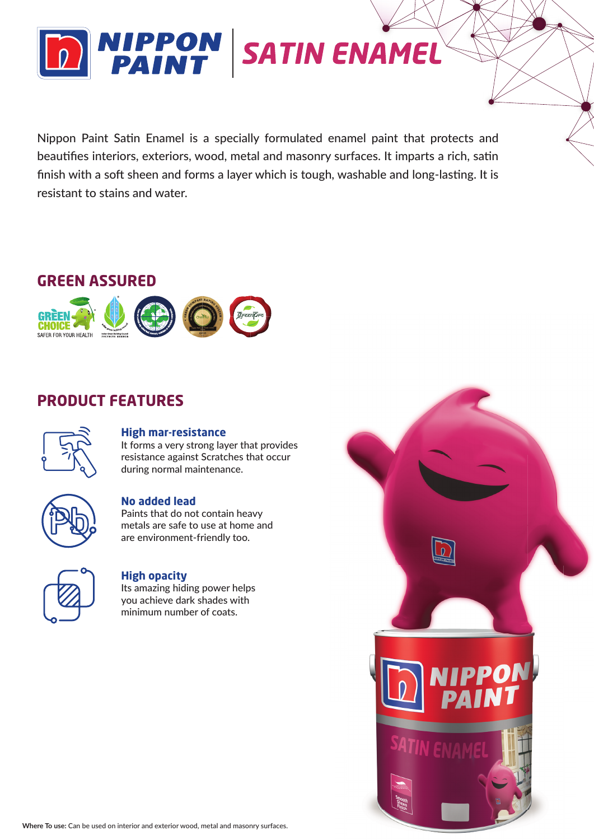

Nippon Paint Satin Enamel is a specially formulated enamel paint that protects and beautifies interiors, exteriors, wood, metal and masonry surfaces. It imparts a rich, satin finish with a soft sheen and forms a layer which is tough, washable and long-lasting. It is resistant to stains and water.

### **GREEN ASSURED**



# **PRODUCT FEATURES**



### **High mar-resistance**

It forms a very strong layer that provides resistance against Scratches that occur during normal maintenance.



### **No added lead**

Paints that do not contain heavy metals are safe to use at home and are environment-friendly too.



### **High opacity**

Its amazing hiding power helps you achieve dark shades with minimum number of coats.